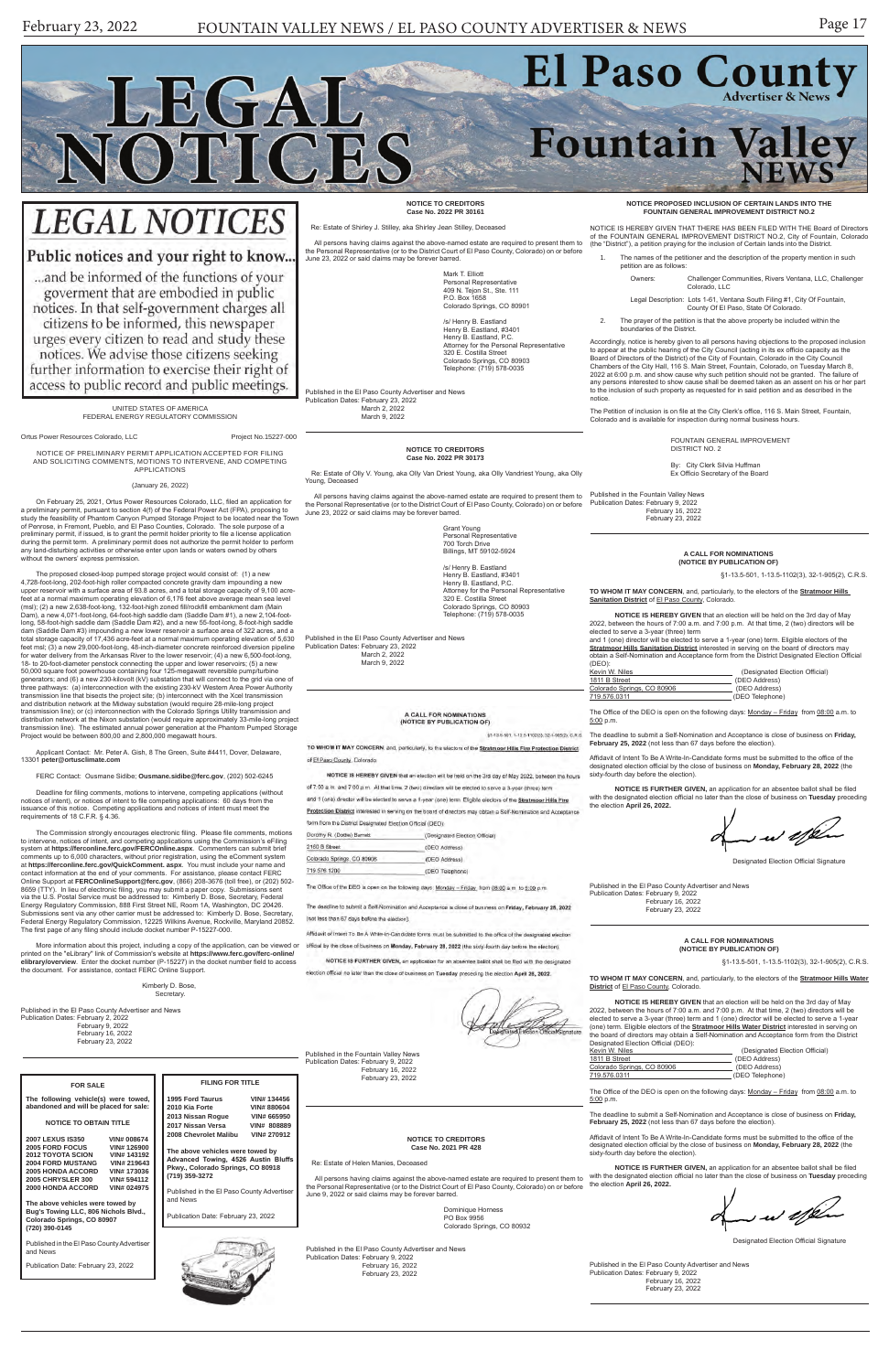

# **LEGAL NOTICES**

## Public notices and your right to know...

... and be informed of the functions of your goverment that are embodied in public notices. In that self-government charges all citizens to be informed, this newspaper urges every citizen to read and study these notices. We advise those citizens seeking further information to exercise their right of access to public record and public meetings.

> UNITED STATES OF AMERICA FEDERAL ENERGY REGULATORY COMMISSION

Ortus Power Resources Colorado, LLC Project No.15227-000

On February 25, 2021, Ortus Power Resources Colorado, LLC, filed an application for a preliminary permit, pursuant to section 4(f) of the Federal Power Act (FPA), proposing to study the feasibility of Phantom Canyon Pumped Storage Project to be located near the Town of Penrose, in Fremont, Pueblo, and El Paso Counties, Colorado. The sole purpose of a<br>preliminary permit, if issued, is to grant the permit holder priority to file a license application<br>during the permit term. A prelimin any land-disturbing activities or otherwise enter upon lands or waters owned by others without the owners' express permission.

NOTICE OF PRELIMINARY PERMIT APPLICATION ACCEPTED FOR FILING AND SOLICITING COMMENTS, MOTIONS TO INTERVENE, AND COMPETING APPLICATIONS

(January 26, 2022)

The proposed closed-loop pumped storage project would consist of: (1) a new 4,728-foot-long, 202-foot-high roller compacted concrete gravity dam impounding a new upper reservoir with a surface area of 93.8 acres, and a total storage capacity of 9,100 acre-feet at a normal maximum operating elevation of 6,176 feet above average mean sea level (msl); (2) a new 2,638-foot-long, 132-foot-high zoned fill/rockfill embankment dam (Main<br>Dam), a new 4,071-foot-long, 64-foot-high saddle dam (Saddle Dam #1), a new 2,104-foot-<br>long, 58-foot-high saddle dam (Saddle Dam #2) dam (Saddle Dam #3) impounding a new lower reservoir a surface area of 322 acres, and a total storage capacity of 17,436 acre-feet at a normal maximum operating elevation of 5,630 feet msl; (3) a new 29,000-foot-long, 48-inch-diameter concrete reinforced diversion pipeline for water delivery from the Arkansas River to the lower reservoir; (4) a new 6,500-foot-long, 18- to 20-foot-diameter penstock connecting the upper and lower reservoirs; (5) a new 50,000 square foot powerhouse containing four 125-megawatt reversible pump/turbine generators; and (6) a new 230-kilovolt (kV) substation that will connect to the grid via one of three pathways: (a) interconnection with the existing 230-kV Western Area Power Authority<br>transmission line that bisects the project site; (b) interconnect with the Xcel transmission<br>and distribution network at the Midway transmission line); or (c) interconnection with the Colorado Springs Utility transmission and distribution network at the Nixon substation (would require approximately 33-mile-long project transmission line). The estimated annual power generation at the Phantom Pumped Storage Project would be between 800,00 and 2,800,000 megawatt hours.

> Dominique Horness PO Box 9956 Colorado Springs, CO 80932

Applicant Contact: Mr. Peter A. Gish, 8 The Green, Suite #4411, Dover, Delaware, 13301 **peter@ortusclimate.com**

The names of the petitioner and the description of the property mention in such petition are as follows:

FERC Contact: Ousmane Sidibe; **Ousmane.sidibe@ferc.gov**, (202) 502-6245

Deadline for filing comments, motions to intervene, competing applications (without notices of intent), or notices of intent to file competing applications: 60 days from the issuance of this notice. Competing applications and notices of intent must meet the requirements of 18 C.F.R. § 4.36.

The Commission strongly encourages electronic filing. Please file comments, motions to intervene, notices of intent, and competing applications using the Commission's eFiling system at **https://ferconline.ferc.gov/FERCOnline.aspx**. Commenters can submit brief comments up to 6,000 characters, without prior registration, using the eComment system at **https://ferconline.ferc.gov/QuickComment. aspx**. You must include your name and contact information at the end of your comments. For assistance, please contact FERC Online Support at **FERCOnlineSupport@ferc.gov**, (866) 208-3676 (toll free), or (202) 502- 8659 (TTY). In lieu of electronic filing, you may submit a paper copy. Submissions sent<br>via the U.S. Postal Service must be addressed to: Kimberly D. Bose, Secretary, Federal<br>Energy Regulatory Commission, 888 First Stre Submissions sent via any other carrier must be addressed to: Kimberly D. Bose, Secretary, Federal Energy Regulatory Commission, 12225 Wilkins Avenue, Rockville, Maryland 20852. The first page of any filing should include docket number P-15227-000.

> The Office of the DEO is open on the following days: Monday - Friday from 08:00 a.m. to 5:00 p.m.

**TO WHOM IT MAY CONCERN**, and, particularly, to the electors of the **Stratmoor Hills Sanitation District** of El Paso County, Colorado.

More information about this project, including a copy of the application, can be viewed or printed on the "eLibrary" link of Commission's website at **https://www.ferc.gov/ferc-online/ elibrary/overview**. Enter the docket number (P-15227) in the docket number field to access the document. For assistance, contact FERC Online Support.

## Secretary.

Published in the El Paso County Advertiser and News Publication Dates: February 2, 2022 February 9, 2022 February 16, 2022 February 23, 2022

#### **NOTICE TO CREDITORS Case No. 2021 PR 428**

The Office of the DEO is open on the following days: Monday - Friday from 08:00 a.m. to 5:00 p.m.

claims against the above-named estate are required to present them to ntative (or to the District Court of El Paso County, Colorado) on or before claims may be forever barred.

**NOTICE IS FURTHER GIVEN,** an application for an absentee ballot shall be filed with the designated election official no later than the close of business on **Tuesday** preceding with the designated election of<br>the election **April 26, 2022.** 

 $\curvearrowleft$ 

Published in the Fountain Valley News Publication Dates: February 9, 2022 February 16, 2022 February 23, 2022

## **NOTICE PROPOSED INCLUSION OF CERTAIN LANDS INTO THE FOUNTAIN GENERAL IMPROVEMENT DISTRICT NO.2**

NOTICE IS HEREBY GIVEN THAT THERE HAS BEEN FILED WITH THE Board of Directors of the FOUNTAIN GENERAL IMPROVEMENT DISTRICT NO.2, City of Fountain, Colorado (the "District"), a petition praying for the inclusion of Certain lands into the District.

 Re: Estate of Olly V. Young, aka Olly Van Driest Young, aka Olly Vandriest Young, aka Olly Young, Deceased

Owners: Challenger Communities, Rivers Ventana, LLC, Challenger Colorado, LLC

Legal Description: Lots 1-61, Ventana South Filing #1, City Of Fountain, County Of El Paso, State Of Colorado.

2. The prayer of the petition is that the above property be included within the boundaries of the District.

Accordingly, notice is hereby given to all persons having objections to the proposed inclusion to appear at the public hearing of the City Council (acting in its ex officio capacity as the Board of Directors of the District) of the City of Fountain, Colorado in the City Council Chambers of the City Hall, 116 S. Main Street, Fountain, Colorado, on Tuesday March 8, 2022 at 6:00 p.m. and show cause why such petition should not be granted. The failure of any persons interested to show cause shall be deemed taken as an assent on his or her part to the inclusion of such property as requested for in said petition and as described in the notice.

The Petition of inclusion is on file at the City Clerk's office, 116 S. Main Street, Fountain, Colorado and is available for inspection during normal business hours.

> FOUNTAIN GENERAL IMPROVEMENT DISTRICT NO. 2

By: City Clerk Silvia Huffman Ex Officio Secretary of the Board

Published in the Fountain Valley News Publication Dates: February 9, 2022 February 16, 2022 February 23, 2022

## **A CALL FOR NOMINATIONS (NOTICE BY PUBLICATION OF)**

§1-13.5-501, 1-13.5-1102(3), 32-1-905(2), C.R.S.

**TO WHOM IT MAY CONCERN**, and, particularly, to the electors of the **Stratmoor Hills Water District** of El Paso County, Colorado.

2022, between the hours of 7:00 a.m. and 7:00 p.m. At that time, 2 (two) directors will be elected to serve a 3-year (three) term and 1 (one) director will be elected to serve a 1-year (one) term. Eligible electors of the **Stratmoor Hills Water District** interested in serving on the board of directors may obtain a Self-Nomination and Acceptance form from the District Designated Election Official (DEO):

| Kevin W. Niles             | (Designated Election Official) |
|----------------------------|--------------------------------|
| 1811 B Street              | (DEO Address)                  |
| Colorado Springs, CO 80906 | (DEO Address)                  |
| 719.576.0311               | (DEO Telephone)                |
|                            |                                |

The deadline to submit a Self-Nomination and Acceptance is close of business on **Friday, February 25, 2022** (not less than 67 days before the election).

Affidavit of Intent To Be A Write-In-Candidate forms must be submitted to the office of the designated election official by the close of business on **Monday, February 28, 2022** (the sixty-fourth day before the election).

**NOTICE IS FURTHER GIVEN,** an application for an absentee ballot shall be filed with the designated election official no later than the close of business on **Tuesday** preceding the election **April 26, 2022.** 

ww effen

Designated Election Official Signature

Published in the El Paso County Advertiser and News Publication Dates: February 9, 2022 February 16, 2022 February 23, 2022

#### **A CALL FOR NOMINATIONS (NOTICE BY PUBLICATION OF)**

§1-13.5-501, 1-13.5-1102(3), 32-1-905(2), C.R.S.

|                                                                                                                                                                                                                                                                                                                                                                                                                                                                                                                                         |                                                                                                                                                                                                                                                                                                                                                                                                                            | Publication Dates: February 9, 2022<br>February 16, 2022                                                                                                                                                                                                                                     |
|-----------------------------------------------------------------------------------------------------------------------------------------------------------------------------------------------------------------------------------------------------------------------------------------------------------------------------------------------------------------------------------------------------------------------------------------------------------------------------------------------------------------------------------------|----------------------------------------------------------------------------------------------------------------------------------------------------------------------------------------------------------------------------------------------------------------------------------------------------------------------------------------------------------------------------------------------------------------------------|----------------------------------------------------------------------------------------------------------------------------------------------------------------------------------------------------------------------------------------------------------------------------------------------|
| <b>FOR SALE</b>                                                                                                                                                                                                                                                                                                                                                                                                                                                                                                                         | <b>FILING FOR TITLE</b>                                                                                                                                                                                                                                                                                                                                                                                                    | February 23, 2022                                                                                                                                                                                                                                                                            |
| The following vehicle(s) were towed,<br>abandoned and will be placed for sale:<br><b>NOTICE TO OBTAIN TITLE</b><br><b>2007 LEXUS IS350</b><br>VIN# 008674<br>2005 FORD FOCUS<br>VIN# 126900<br><b>2012 TOYOTA SCION</b><br>VIN# 143192<br><b>2004 FORD MUSTANG</b><br>VIN# 219643<br><b>2005 HONDA ACCORD</b><br>VIN# 173036<br><b>2005 CHRYSLER 300</b><br>VIN# 594112<br>2000 HONDA ACCORD<br>VIN# 024975<br>The above vehicles were towed by<br>Bug's Towing LLC, 806 Nichols Blvd.,<br>Colorado Springs, CO 80907<br>(720) 390-0145 | 1995 Ford Taurus<br>VIN# 134456<br>2010 Kia Forte<br><b>VIN# 880604</b><br>2013 Nissan Roque<br>VIN# 665950<br>2017 Nissan Versa<br>VIN# 808889<br>2008 Chevrolet Malibu<br>VIN# 270912<br>The above vehicles were towed by<br>Advanced Towing, 4526 Austin Bluffs<br>Pkwy., Colorado Springs, CO 80918<br>(719) 359-3272<br>Published in the El Paso County Advertiser<br>and News<br>Publication Date: February 23, 2022 | <b>NOTICE TO CRED</b><br><b>Case No. 2021 PI</b><br>Re: Estate of Helen Manies, Deceased<br>All persons having claims against the above-name<br>the Personal Representative (or to the District Court of<br>June 9, 2022 or said claims may be forever barred.<br>Domini<br>PO Bo:<br>Colora |
| Published in the El Paso County Advertiser<br>and News<br>Publication Date: February 23, 2022                                                                                                                                                                                                                                                                                                                                                                                                                                           |                                                                                                                                                                                                                                                                                                                                                                                                                            | Published in the El Paso County Advertiser and News<br>Publication Dates: February 9, 2022<br>February 16, 2022<br>February 23, 2022                                                                                                                                                         |

16

**NOTICE IS HEREBY GIVEN** that an election will be held on the 3rd day of May 2022, between the hours of 7:00 a.m. and 7:00 p.m. At that time, 2 (two) directors will be elected to serve a 3-year (three) term

and 1 (one) director will be elected to serve a 1-year (one) term. Eligible electors of the **Stratmoor Hills Sanitation District** interested in serving on the board of directors may obtain a Self-Nomination and Acceptance form from the District Designated Election Official (DEO):

| , – – – <i>,</i> .         |                                |
|----------------------------|--------------------------------|
| Kevin W. Niles             | (Designated Election Official) |
| 1811 B Street              | (DEO Address)                  |
| Colorado Springs, CO 80906 | (DEO Address)                  |
| 719.576.0311               | (DEO Telephone)                |

The deadline to submit a Self-Nomination and Acceptance is close of business on **Friday, February 25, 2022** (not less than 67 days before the election).

Affidavit of Intent To Be A Write-In-Candidate forms must be submitted to the office of the designated election official by the close of business on **Monday, February 28, 2022** (the sixty-fourth day before the election).

Designated Election Official Signature

Published in the El Paso County Advertiser and News Publication Dates: February 9, 2022 February 16, 2022 February 23, 2022

**NOTICE TO CREDITORS Case No. 2022 PR 30161**

Re: Estate of Shirley J. Stilley, aka Shirley Jean Stilley, Deceased

 All persons having claims against the above-named estate are required to present them to the Personal Representative (or to the District Court of El Paso County, Colorado) on or before June 23, 2022 or said claims may be forever barred.

> Mark T. Elliott Personal Repres 409 N. Tejon St., Ste. 111 P.O. Box 1658 Colorado Springs, CO 80901

/s/ Henry B. Eastland Henry B. Eastland, #3401 Henry B. Eastland, P.C. Attorney for the Personal Representative 320 E. Costilla Street Colorado Springs, CO 80903 Telephone: (719) 578-0035

Published in the El Paso County Advertiser and News Publication Dates: February 23, 2022 March 2, 2022 March 9, 2022

#### **NOTICE TO CREDITORS Case No. 2022 PR 30173**

 All persons having claims against the above-named estate are required to present them to the Personal Representative (or to the District Court of El Paso County, Colorado) on or before June 23, 2022 or said claims may be forever barred.

> Grant Young Personal Representative 700 Torch Drive Billings, MT 59102-5924

/s/ Henry B. Eastland Henry B. Eastland, #3401 Henry B. Eastland, P.C. Attorney for the Personal Representative 320 E. Costilla Street Colorado Springs, CO 80903 Telephone: (719) 578-0035

Published in the El Paso County Advertiser and News Publication Dates: February 23, 2022 March 2, 2022 March 9, 2022

#### A CALL FOR NOMINATIONS (NOTICE BY PUBLICATION OF)

§1-13.5-501. 1-13.5-1102(3), 32-1-905(2), C.R.S.

TO WHOM IT MAY CONCERN, and, particularly, to the electors of the Stratmoor Hills Fire Protection District of El Paso County, Colorado

NOTICE IS HEREBY GIVEN that an election will be held on the 3rd day of May 2022, between the hours of 7:00 a.m. and 7:00 p.m. At that time. 2 (two) directors will be elected to serve a 3-year (three) tem

and 1 (one) director will be elected to serve a 1-year (one) term. Eligible electors of the Stratmoor Hills Fire Protection District interested in serving on the board of directors may obtain a Self-Nomination and Acceptance

form from the District Designated Election Official (DEO): Dorothy R. (Dottie) Barrett (Designated Election Official)

| 2160 B Street              | (DEO Address)   |
|----------------------------|-----------------|
| Colorado Springs, CO 80906 | (DEO Address)   |
| 19.576.1200                | (DEO Telephone) |

The Office of the DEO is open on the following days: Monday - Friday, from 08:00 a.m. to 5:00 p.m.

The deadline to submit a Self-Nomination and Acceptance is close of business on Friday, February 25, 2022 (not less than 67 days before the election)

Affidavit of Intent To Be A Write-In-Candidate forms must be submitted to the office of the designated electio official by the close of business on Monday, February 28, 2022 (the sixty-fourth day before the election)

NOTICE IS FURTHER GIVEN, an application for an absentee ballot shall be filed with the designal

election official no later than the close of business on Tuesday preceding the election April 26, 2022.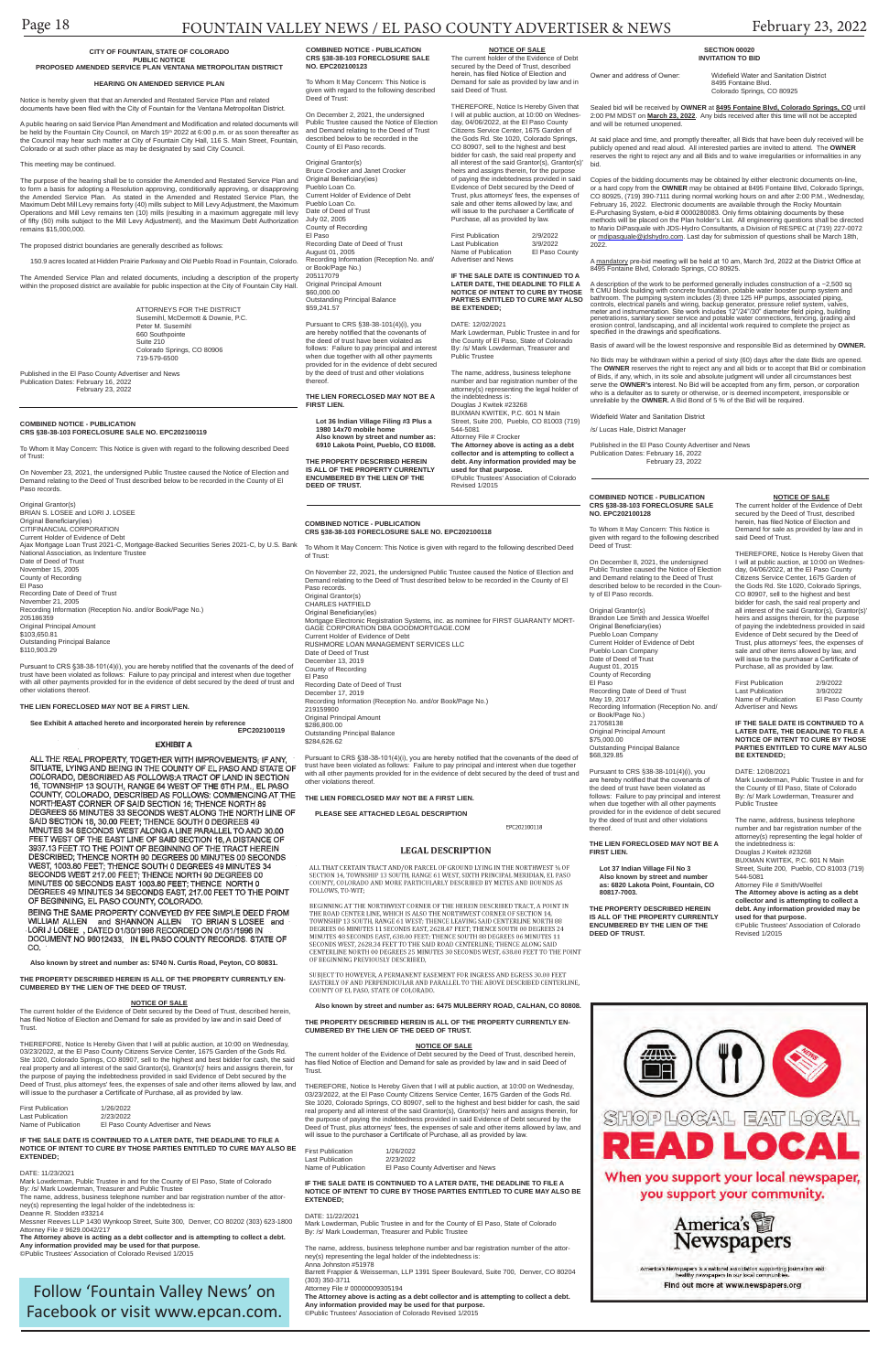## Page 18 FOUNTAIN VALLEY NEWS / EL PASO COUNTY ADVERTISER & NEWS February 23, 2022

#### **COMBINED NOTICE - PUBLICATION CRS §38-38-103 FORECLOSURE SALE NO. EPC202100119**

To Whom It May Concern: This Notice is given with regard to the following described Deed of Trust:

On November 23, 2021, the undersigned Public Trustee caused the Notice of Election and Demand relating to the Deed of Trust described below to be recorded in the County of El Paso records.

| Original Grantor(s)<br>BRIAN S. LOSEE and LORI J. LOSEE<br>Original Beneficiary(ies)<br>CITIFINANCIAL CORPORATION<br>Current Holder of Evidence of Debt<br>Ajax Mortgage Loan Trust 2021-C, Mortgage-Backed Securities Series 2021-C, by U.S. Bank<br>National Association, as Indenture Trustee<br>Date of Deed of Trust<br>November 15, 2005<br>County of Recording<br>El Paso<br>Recording Date of Deed of Trust<br>November 21, 2005<br>Recording Information (Reception No. and/or Book/Page No.)<br>205186359<br>Original Principal Amount<br>\$103,650.81<br><b>Outstanding Principal Balance</b><br>\$110.903.29 |
|--------------------------------------------------------------------------------------------------------------------------------------------------------------------------------------------------------------------------------------------------------------------------------------------------------------------------------------------------------------------------------------------------------------------------------------------------------------------------------------------------------------------------------------------------------------------------------------------------------------------------|
| Durationt to CDC 820 20 101(1)(i) you are bereful potified that the covenante of the deed of                                                                                                                                                                                                                                                                                                                                                                                                                                                                                                                             |

Pursuant to CRS §38-38-101(4)(i), you are hereby notified that the covenants of the deed of trust have been violated as follows: Failure to pay principal and interest when due together with all other payments provided for in the evidence of debt secured by the deed of trust and other violations thereof.

First Publication 1/26/2022 Last Publication 2/23/2022<br>Name of Publication El Paso C El Paso County Advertiser and News

#### **THE LIEN FORECLOSED MAY NOT BE A FIRST LIEN.**

**See Exhibit A attached hereto and incorporated herein by reference EPC202100119**

#### **EXHIBIT A**

ALL THE REAL PROPERTY, TOGETHER WITH IMPROVEMENTS; IF ANY,<br>SITUATE, LYING AND BEING IN THE COUNTY OF EL PASO AND STATE OF COLORADO, DESCRIBED AS FOLLOWS: A TRACT OF LAND IN SECTION 16, TOWNSHIP 13 SOUTH, RANGE 64 WEST OF THE 6TH P.M., EL PASO COUNTY, COLORADO, DESCRIBED AS FOLLOWS: COMMENCING AT THE NORTHEAST CORNER OF SAID SECTION 16; THENCE NORTH 89 DEGREES 55 MINUTES 33 SECONDS WEST ALONG THE NORTH LINE OF<br>SAID SECTION 16, 30.00 FEET; THENCE SOUTH 0 DEGREES 49<br>MINUTES 34 SECONDS WEST ALONG A LINE PARALLEL TO AND 30.00<br>FEET WEST OF THE EAST LINE OF SAID SECTION 16, A DESCRIBED; THENCE NORTH 90 DEGREES 00 MINUTES 00 SECONDS<br>WEST, 1003.80 FEET; THENCE SOUTH 0 DEGREES 49 MINUTES 34 SECONDS WEST 217.00 FEET; THENCE NORTH 90 DEGREES 00 MINUTES 00 SECONDS EAST 1003.80 FEET; THENCE NORTH 0<br>DEGREES 49 MINUTES 34 SECONDS EAST, 217.00 FEET TO THE POINT OF BEGINNING, EL PASO COUNTY, COLORADO.

BEING THE SAME PROPERTY CONVEYED BY FEE SIMPLE DEED FROM WILLIAM ALLEN and SHANNON ALLEN TO BRIAN SLOSEE<br>LORI J LOSEE, DATED 01/30/1996 RECORDED ON 01/31/1996 IN and DOCUMENT NO 96012433, IN EL PASO COUNTY RECORDS. STATE OF CO.

**Also known by street and number as: 5740 N. Curtis Road, Peyton, CO 80831.**

**THE PROPERTY DESCRIBED HEREIN IS ALL OF THE PROPERTY CURRENTLY EN-CUMBERED BY THE LIEN OF THE DEED OF TRUST.**

A public hearing on said Service Plan Amendment and Modification and related documents will<br>be held by the Fountain City Council, on March 15ª 2022 at 6:00 p.m. or as soon thereafter as the Council may hear such matter at City of Fountain City Hall, 116 S. Main Street, Fountain, Colorado or at such other place as may be designated by said City Council.

THEREFORE, Notice Is Hereby Given that I will at public auction, at 10:00 on Wednesday, 03/23/2022, at the El Paso County Citizens Service Center, 1675 Garden of the Gods Rd. Ste 1020, Colorado Springs, CO 80907, sell to the highest and best bidder for cash, the said real property and all interest of the said Grantor(s), Grantor(s)' heirs and assigns therein, for the purpose of paying the indebtedness provided in said Evidence of Debt secured by the Deed of Trust, plus attorneys' fees, the expenses of sale and other items allowed by law, and will issue to the purchaser a Certificate of Purchase, all as provided by law.

#### **IF THE SALE DATE IS CONTINUED TO A LATER DATE, THE DEADLINE TO FILE A NOTICE OF INTENT TO CURE BY THOSE PARTIES ENTITLED TO CURE MAY ALSO BE EXTENDED;**

#### DATE: 11/23/2021

Copies of the bidding documents may be obtained by either electronic documents on-line, or a hard copy from the **OWNER** may be obtained at 8495 Fontaine Blvd, Colorado Springs, CO 80925, (719) 390-7111 during normal working hours on and after 2:00 P.M., Wednesday,<br>February 16, 2022. Electronic documents are available through the Rocky Mountain<br>E-Purchasing System, e-bid # 0000280083. Only firms methods will be placed on the Plan holder's List. All engineering questions shall be directed to Mario DiPasquale with JDS-Hydro Consultants, a Division of RESPEC at (719) 227-0072 or mdipasquale@jdshydro.com. Last day for submission of questions shall be March 18th, 2022

A <u>mandatory</u> pre-bid meeting will be held at 10 am, March 3rd, 2022 at the District Office at<br>8495 Fontaine Blvd, Colorado Springs, CO 80925.

Mark Lowderman, Public Trustee in and for the County of El Paso, State of Colorado By: /s/ Mark Lowderman, Treasurer and Public Trustee The name, address, business telephone number and bar registration number of the attorney(s) representing the legal holder of the indebtedness is: Deanne R. Stodden #33214 Messner Reeves LLP 1430 Wynkoop Street, Suite 300, Denver, CO 80202 (303) 623-1800 Attorney File # 9629.0042/217 **The Attorney above is acting as a debt collector and is attempting to collect a debt. Any information provided may be used for that purpose.** ©Public Trustees' Association of Colorado Revised 1/2015

#### **CITY OF FOUNTAIN, STATE OF COLORADO PUBLIC NOTICE**

#### **PROPOSED AMENDED SERVICE PLAN VENTANA METROPOLITAN DISTRICT**

#### **HEARING ON AMENDED SERVICE PLAN**

Notice is hereby given that that an Amended and Restated Service Plan and related documents have been filed with the City of Fountain for the Ventana Metropolitan District.

> A description of the work to be performed generally includes construction of a ~2,500 sq<br>tt CMU block building with concrete foundation, potable water booster pump system and<br>bathroom. The pumping system includes (3) three erosion control, landscaping, and all incidental work required to complete the project as specified in the drawings and specifications.

No Bids may be withdrawn within a period of sixty (60) days after the date Bids are opened. The **OWNER** reserves the right to reject any and all bids or to accept that Bid or combination<br>of Bids, if any, which, in its sole and absolute judgment will under all circumstances best<br>serve the **OWNER's** interest. No Bi who is a defaulter as to surety or otherwise, or is deemed incompetent, irresponsible or<br>unreliable by the **OWNER.** A Bid Bond of 5 % of the Bid will be required.

#### This meeting may be continued.

The purpose of the hearing shall be to consider the Amended and Restated Service Plan and to form a basis for adopting a Resolution approving, conditionally approving, or disapproving<br>the Amended Service Plan. As stated in the Amended and Restated Service Plan, the<br>Maximum Debt Mill Levy remains forty (40) mi Operations and Mill Levy remains ten (10) mills (resulting in a maximum aggregate mill levy of fifty (50) mills subject to the Mill Levy Adjustment), and the Maximum Debt Authorization remains \$15,000,000.

The proposed district boundaries are generally described as follows:

150.9 acres located at Hidden Prairie Parkway and Old Pueblo Road in Fountain, Colorado.

The Amended Service Plan and related documents, including a description of the property within the proposed district are available for public inspection at the City of Fountain City Hall.

> The current holder of the Evidence of Debt secured by the Deed of Trust, described herein,<br>has filed Notice of Election and Demand for sale as provided by law and in said Deed of Trust.

THEREFORE, Notice Is Hereby Given that I will at public auction, at 10:00 on Wednesday, 03/23/2022, at the El Paso County Citizens Service Center, 1675 Garden of the Gods Rd. Ste 1020, Colorado Springs, CO 80907, sell to the highest and best bidder for cash, the said real property and all interest of the said Grantor(s), Grantor(s)' heirs and assigns therein, for the purpose of paying the indebtedness provided in said Evidence of Debt secured by the Deed of Trust, plus attorneys' fees, the expenses of sale and other items allowed by law, and will issue to the purchaser a Certificate of Purchase, all as provided by law.

ATTORNEYS FOR THE DISTRICT Susemihl, McDermott & Downie, P.C. Peter M. Susemihl 660 Southpointe Suite 210 Colorado Springs, CO 80906 719-579-6500

Published in the El Paso County Advertiser and News Publication Dates: February 16, 2022 February 23, 2022

## **SECTION 00020 INVITATION TO BID**

Owner and address of Owner: Widefield Water and Sanitation District 8495 Fontaine Blvd. Colorado Springs, CO 80925

Sealed bid will be received by **OWNER** at **8495 Fontaine Blvd, Colorado Springs, CO** until 2:00 PM MDST on **March 23, 2022**. Any bids received after this time will not be accepted and will be returned unopened.

At said place and time, and promptly thereafter, all Bids that have been duly received will be publicly opened and read aloud. All interested parties are invited to attend. The **OWNER**  reserves the right to reject any and all Bids and to waive irregularities or informalities in any bid.

Original Grantor(s) Brandon Lee Smith and Jessica Woelfel Original Beneficiary(ies) Pueblo Loan Company Current Holder of Evidence of Debt Pueblo Loan Company Date of Deed of Trust August 01, 2015 County of Recording El Paso Recording Date of Deed of Trust May 19, 2017 Recording Information (Reception No. and/ or Book/Page No.) 217058138 Original Principal Amount \$75,000.00 Outstanding Principal Balance \$68,329.85

secured by the Deed of Trust, described herein, has filed Notice of Election and Demand for sale as provided by law and in said Deed of Trust.

First Publication 2/9/2022<br>Last Publication 3/9/2022 Last Publication 3/9/2022<br>Name of Publication El Paso County Name of Publication Advertiser and News

Basis of award will be the lowest responsive and responsible Bid as determined by **OWNER.**

Widefield Water and Sanitation District

/s/ Lucas Hale, District Manager

THEREFORE, Notice Is Hereby Given that I will at public auction, at 10:00 on Wednesday, 04/06/2022, at the El Paso County Citizens Service Center, 1675 Garden of the Gods Rd. Ste 1020, Colorado Springs, CO 80907, sell to the highest and best bidder for cash, the said real property and all interest of the said Grantor(s), Grantor(s)' heirs and assigns therein, for the purpose of paying the indebtedness provided in said Evidence of Debt secured by the Deed of Trust, plus attorneys' fees, the expenses of sale and other items allowed by law, and will issue to the purchaser a Certificate of Purchase, all as provided by law. First Publication 2/9/2022<br>Last Publication 3/9/2022 Last Publication 3/9/2022<br>Name of Publication El Paso County

> Published in the El Paso County Advertiser and News Publication Dates: February 16, 2022 February 23, 2022

# **used for that purpose.**<br>©Public Trustees' Association of Colorado<br>Revised 1/2015

## Follow 'Fountain Valley News' on Facebook or visit www.epcan.com.

#### **COMBINED NOTICE - PUBLICATION CRS §38-38-103 FORECLOSURE SALE NO. EPC202100118**

To Whom It May Concern: This Notice is given with regard to the following described Deed of Trust:

Name of Publication Advertiser and News

On November 22, 2021, the undersigned Public Trustee caused the Notice of Election and Demand relating to the Deed of Trust described below to be recorded in the County of El Paso records. Original Grantor(s) CHARLES HATFIELD Original Beneficiary(ies) Mortgage Electronic Registration Systems, inc. as nominee for FIRST GUARANTY MORT-GAGE CORPORATION DBA GOODMORTGAGE.COM Current Holder of Evidence of Debt RUSHMORE LOAN MANAGEMENT SERVICES LLC Date of Deed of Trust December 13, 2019 County of Recording El Paso Recording Date of Deed of Trust December 17, 2019 Recording Information (Reception No. and/or Book/Page No.) 219159900 Original Principal Amount \$286,800.00

Outstanding Principal Balance \$284,626.62

Pursuant to CRS §38-38-101(4)(i), you are hereby notified that the covenants of the deed of trust have been violated as follows: Failure to pay principal and interest when due together with all other payments provided for in the evidence of debt secured by the deed of trust and other violations thereof.

**THE LIEN FORECLOSED MAY NOT BE A FIRST LIEN.**

**PLEASE SEE ATTACHED LEGAL DESCRIPTION**

FPC202100118

### **LEGAL DESCRIPTION**

ALL THAT CERTAIN TRACT AND/OR PARCEL OF GROUND LYING IN THE NORTHWEST % OF ALL THAT CERTAIN TRACT ANNOUNCEMENT OF GROOMD LING IN THE NORTHAL MERIDIAN, EL PASO<br>COUNTY, COLORADO AND MORE PARTICULARLY DESCRIBED BY METES AND BOUNDS AS FOLLOWS, TO-WIT:

BEGINNING AT THE NORTHWEST CORNER OF THE HEREIN DESCRIBED TRACT, A POINT IN THE ROAD CENTER LINE. WHICH IS ALSO THE NORTHWEST CORNER OF SECTION 14. TOWNSHIP 13 SOUTH, RANGE 61 WEST; THENCE LEAVING SAID CENTERLINE NORTH 88<br>DEGREES 06 MINUTES 11 SECONDS EAST, 2628.47 FEET; THENCE SOUTH 00 DEGREES 24<br>MINUTES 48 SECONDS EAST, 638.00 FEET; THENCE SOUTH 88 DEGREES 06 MINUTE SECONDS WEST, 2628.34 FEET TO THE SAID ROAD CENTERLINE; THENCE ALONG SAID CENTERLINE NORTH 00 DEGREES 25 MINUTES 30 SECONDS WEST, 638.00 FEET TO THE POINT OF BEGINNING PREVIOUSLY DESCRIBED,

 $\it SUBJECT$  TO HOWEVER, A PERMANENT EASEMENT FOR INGRESS AND EGRESS 30.00 FEET EASTERLY OF AND PERPENDICULAR AND PARALLEL TO THE ABOVE DESCRIBED CENTERLINE, COUNTY OF EL PASO, STATE OF COLORADO.

**6475 MULBERRY ROAD, CALHAN, CO 80808.** 

**THE PROPERTY DESCRIBED HEREIN IS ALL OF THE PROPERTY CURRENTLY EN-CUMBERED BY THE LIEN OF THE DEED OF TRUST.**

#### **NOTICE OF SALE**

| <b>First Publication</b> | 1/26/2022                          |
|--------------------------|------------------------------------|
| Last Publication         | 2/23/2022                          |
| Name of Publication      | El Paso County Advertiser and News |

#### **IF THE SALE DATE IS CONTINUED TO A LATER DATE, THE DEADLINE TO FILE A NOTICE OF INTENT TO CURE BY THOSE PARTIES ENTITLED TO CURE MAY ALSO BE EXTENDED;**

#### DATE: 11/22/2021

Mark Lowderman, Public Trustee in and for the County of El Paso, State of Colorado By: /s/ Mark Lowderman, Treasurer and Public Trustee

The name, address, business telephone number and bar registration number of the attorney(s) representing the legal holder of the indebtedness is: Anna Johnston #51978

Barrett Frappier & Weisserman, LLP 1391 Speer Boulevard, Suite 700, Denver, CO 80204 (303) 350-3711

Attorney File # 00000009305194

**The Attorney above is acting as a debt collector and is attempting to collect a debt. Any information provided may be used for that purpose.** ©Public Trustees' Association of Colorado Revised 1/2015



When you support your local newspaper, you support your community.



wspapers is a national association supporting journalism and<br>healthy newspapers in our local communities.

Find out more at www.newspapers.org

### **COMBINED NOTICE - PUBLICATION CRS §38-38-103 FORECLOSURE SALE NO. EPC202100128**

To Whom It May Concern: This Notice is given with regard to the following described Deed of Trust:

On December 8, 2021, the undersigned Public Trustee caused the Notice of Election and Demand relating to the Deed of Trust described below to be recorded in the County of El Paso records.

Pursuant to CRS §38-38-101(4)(i), you are hereby notified that the covenants of the deed of trust have been violated as follows: Failure to pay principal and interest when due together with all other payments provided for in the evidence of debt secured by the deed of trust and other violations thereof.

#### **THE LIEN FORECLOSED MAY NOT BE A FIRST LIEN.**

**Lot 37 Indian Village Fil No 3 Also known by street and number as: 6820 Lakota Point, Fountain, CO 80817-7003.**

**THE PROPERTY DESCRIBED HEREIN IS ALL OF THE PROPERTY CURRENTLY ENCUMBERED BY THE LIEN OF THE DEED OF TRUST.**

#### **NOTICE OF SALE** The current holder of the Evidence of Debt

THEREFORE, Notice Is Hereby Given that I will at public auction, at 10:00 on Wednesday, 04/06/2022, at the El Paso County Citizens Service Center, 1675 Garden of the Gods Rd. Ste 1020, Colorado Springs, CO 80907, sell to the highest and best bidder for cash, the said real property and all interest of the said Grantor(s), Grantor(s)' heirs and assigns therein, for the purpose of paying the indebtedness provided in said Evidence of Debt secured by the Deed of Trust, plus attorneys' fees, the expenses of sale and other items allowed by law, and will issue to the purchaser a Certificate of Purchase, all as provided by law.

**IF THE SALE DATE IS CONTINUED TO A LATER DATE, THE DEADLINE TO FILE A NOTICE OF INTENT TO CURE BY THOSE PARTIES ENTITLED TO CURE MAY ALSO BE EXTENDED;**

DATE: 12/08/2021

Mark Lowderman, Public Trustee in and for the County of El Paso, State of Colorado By: /s/ Mark Lowderman, Treasurer and Public Trustee

The name, address, business telephone number and bar registration number of the attorney(s) representing the legal holder of the indebtedness is: Douglas J Kwitek #23268

BUXMAN KWITEK, P.C. 601 N Main Street, Suite 200, Pueblo, CO 81003 (719) 544-5081 Attorney File # Smith/Woelfel

**The Attorney above is acting as a debt collector and is attempting to collect a debt. Any information provided may be** 

**used for that purpose.** ©Public Trustees' Association of Colorado Revised 1/2015

The current holder of the Evidence of Debt secured by the Deed of Trust, des has filed Notice of Election and Demand for sale as provided by law and in said Deed of **Trust** 

**COMBINED NOTICE - PUBLICATION CRS §38-38-103 FORECLOSURE SALE NO. EPC202100123**

To Whom It May Concern: This Notice is given with regard to the following described Deed of Trust:

On December 2, 2021, the undersigned Public Trustee caused the Notice of Election and Demand relating to the Deed of Trust described below to be recorded in the County of El Paso records.

Original Grantor(s) Bruce Crocker and Janet Crocker Original Beneficiary(ies) Pueblo Loan Co. Current Holder of Evidence of Debt Pueblo Loan Co. Date of Deed of Trust July 02, 2005 County of Recording El Paso Recording Date of Deed of Trust August 01, 2005 Recording Information (Reception No. and/ or Book/Page No.) 205117079 Original Principal Amount \$60,000.00 Outstanding Principal Balance \$59,241.57

Pursuant to CRS §38-38-101(4)(i), you are hereby notified that the covenants of the deed of trust have been violated as follows: Failure to pay principal and interest when due together with all other payments provided for in the evidence of debt secured by the deed of trust and other violations thereof.

**THE LIEN FORECLOSED MAY NOT BE A FIRST LIEN.**

**Lot 36 lndian Village Filing #3 Plus a 1980 14x70 mobile home Also known by street and number as:** 

**6910 Lakota Point, Pueblo, CO 81008. THE PROPERTY DESCRIBED HEREIN** 

**IS ALL OF THE PROPERTY CURRENTLY ENCUMBERED BY THE LIEN OF THE DEED OF TRUST.**

**NOTICE OF SALE** The current holder of the Evidence of Debt secured by the Deed of Trust, described herein, has filed Notice of Election and Demand for sale as provided by law and in

**IF THE SALE DATE IS CONTINUED TO A LATER DATE, THE DEADLINE TO FILE A NOTICE OF INTENT TO CURE BY THOSE PARTIES ENTITLED TO CURE MAY ALSO** 

**BE EXTENDED;** DATE: 12/02/2021

Mark Lowderman, Public Trustee in and for the County of El Paso, State of Colorado By: /s/ Mark Lowderman, Treasurer and

Public Trustee

The name, address, business telephone number and bar registration number of the attorney(s) representing the legal holder of the indebtedness is:

Douglas J Kwitek #23268

BUXMAN KWITEK, P.C. 601 N Main Street, Suite 200, Pueblo, CO 81003 (719)

544-5081 Attorney File # Crocker

**The Attorney above is acting as a debt collector and is attempting to collect a debt. Any information provided may be** 

said Deed of Trust.